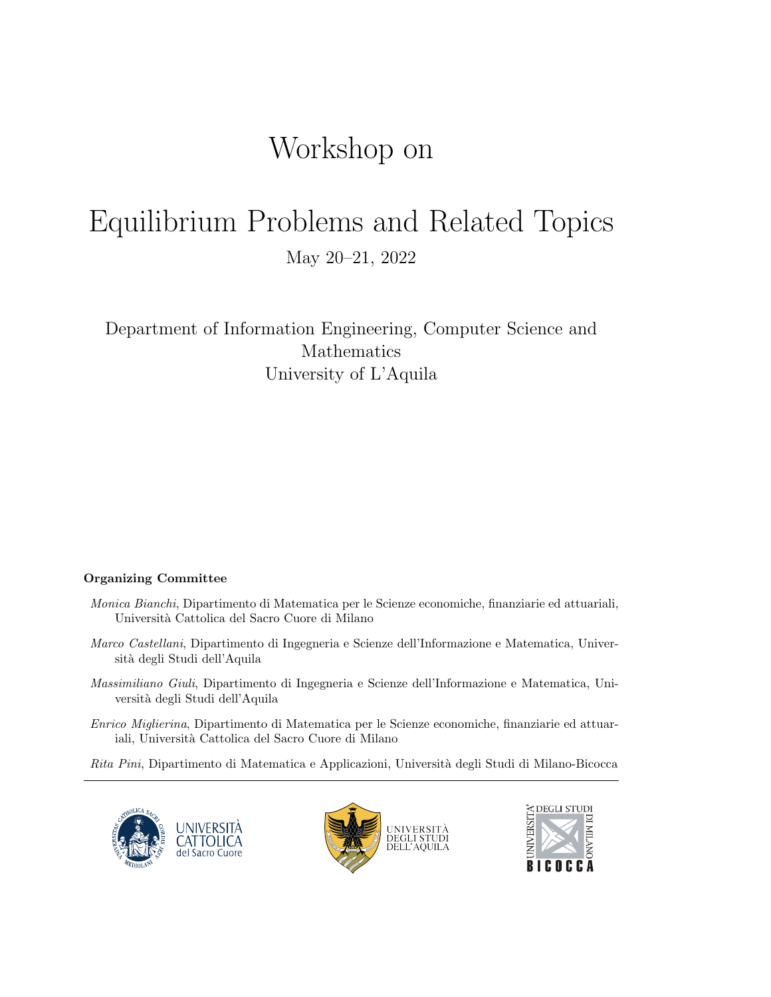# Workshop on

# Equilibrium Problems and Related Topics May 20–21, 2022

Department of Information Engineering, Computer Science and Mathematics University of L'Aquila

### Organizing Committee

- Monica Bianchi, Dipartimento di Matematica per le Scienze economiche, finanziarie ed attuariali, Universit`a Cattolica del Sacro Cuore di Milano
- Marco Castellani, Dipartimento di Ingegneria e Scienze dell'Informazione e Matematica, Università degli Studi dell'Aquila
- Massimiliano Giuli, Dipartimento di Ingegneria e Scienze dell'Informazione e Matematica, Università degli Studi dell'Aquila
- Enrico Miglierina, Dipartimento di Matematica per le Scienze economiche, finanziarie ed attuariali, Università Cattolica del Sacro Cuore di Milano
- Rita Pini, Dipartimento di Matematica e Applicazioni, Università degli Studi di Milano-Bicocca





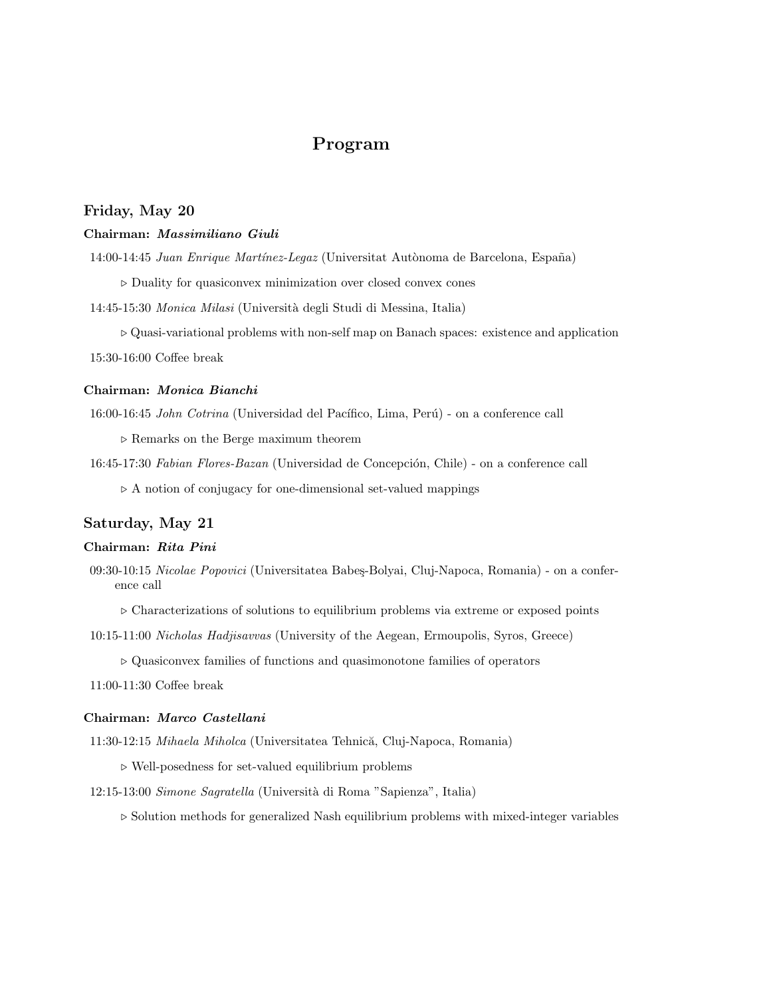# Program

# Friday, May 20

#### Chairman: Massimiliano Giuli

14:00-14:45 Juan Enrique Martínez-Legaz (Universitat Autònoma de Barcelona, España)

. Duality for quasiconvex minimization over closed convex cones

14:45-15:30 Monica Milasi (Universit`a degli Studi di Messina, Italia)

 $\triangleright$  Quasi-variational problems with non-self map on Banach spaces: existence and application 15:30-16:00 Coffee break

# Chairman: Monica Bianchi

16:00-16:45 John Cotrina (Universidad del Pacífico, Lima, Perú) - on a conference call

 $\triangleright$  Remarks on the Berge maximum theorem

16:45-17:30 Fabian Flores-Bazan (Universidad de Concepción, Chile) - on a conference call

 $\triangleright$  A notion of conjugacy for one-dimensional set-valued mappings

### Saturday, May 21

#### Chairman: Rita Pini

09:30-10:15 Nicolae Popovici (Universitatea Babeș-Bolyai, Cluj-Napoca, Romania) - on a conference call

 $\triangleright$  Characterizations of solutions to equilibrium problems via extreme or exposed points

10:15-11:00 Nicholas Hadjisavvas (University of the Aegean, Ermoupolis, Syros, Greece)

 $\triangleright$  Quasiconvex families of functions and quasimonotone families of operators

11:00-11:30 Coffee break

#### Chairman: Marco Castellani

11:30-12:15 Mihaela Miholca (Universitatea Tehnică, Cluj-Napoca, Romania)

- $\triangleright$  Well-posedness for set-valued equilibrium problems
- 12:15-13:00 Simone Sagratella (Università di Roma "Sapienza", Italia)

 $\triangleright$  Solution methods for generalized Nash equilibrium problems with mixed-integer variables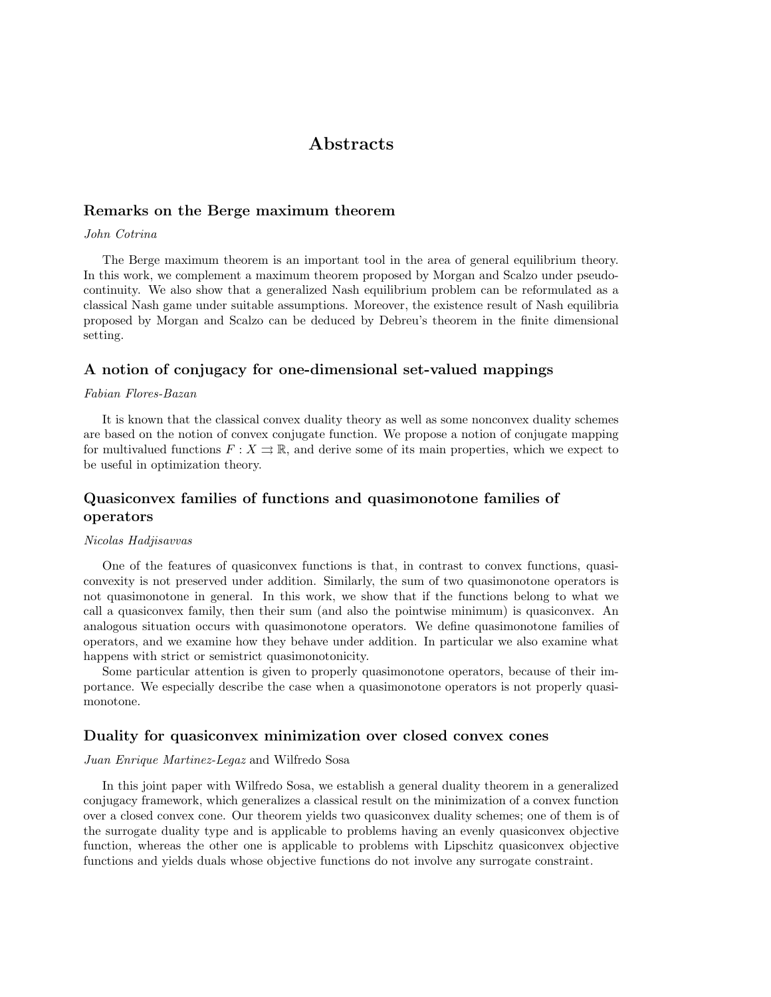# **Abstracts**

#### Remarks on the Berge maximum theorem

#### John Cotrina

The Berge maximum theorem is an important tool in the area of general equilibrium theory. In this work, we complement a maximum theorem proposed by Morgan and Scalzo under pseudocontinuity. We also show that a generalized Nash equilibrium problem can be reformulated as a classical Nash game under suitable assumptions. Moreover, the existence result of Nash equilibria proposed by Morgan and Scalzo can be deduced by Debreu's theorem in the finite dimensional setting.

# A notion of conjugacy for one-dimensional set-valued mappings

#### Fabian Flores-Bazan

It is known that the classical convex duality theory as well as some nonconvex duality schemes are based on the notion of convex conjugate function. We propose a notion of conjugate mapping for multivalued functions  $F: X \rightrightarrows \mathbb{R}$ , and derive some of its main properties, which we expect to be useful in optimization theory.

# Quasiconvex families of functions and quasimonotone families of operators

#### Nicolas Hadjisavvas

One of the features of quasiconvex functions is that, in contrast to convex functions, quasiconvexity is not preserved under addition. Similarly, the sum of two quasimonotone operators is not quasimonotone in general. In this work, we show that if the functions belong to what we call a quasiconvex family, then their sum (and also the pointwise minimum) is quasiconvex. An analogous situation occurs with quasimonotone operators. We define quasimonotone families of operators, and we examine how they behave under addition. In particular we also examine what happens with strict or semistrict quasimonotonicity.

Some particular attention is given to properly quasimonotone operators, because of their importance. We especially describe the case when a quasimonotone operators is not properly quasimonotone.

#### Duality for quasiconvex minimization over closed convex cones

#### Juan Enrique Martinez-Legaz and Wilfredo Sosa

In this joint paper with Wilfredo Sosa, we establish a general duality theorem in a generalized conjugacy framework, which generalizes a classical result on the minimization of a convex function over a closed convex cone. Our theorem yields two quasiconvex duality schemes; one of them is of the surrogate duality type and is applicable to problems having an evenly quasiconvex objective function, whereas the other one is applicable to problems with Lipschitz quasiconvex objective functions and yields duals whose objective functions do not involve any surrogate constraint.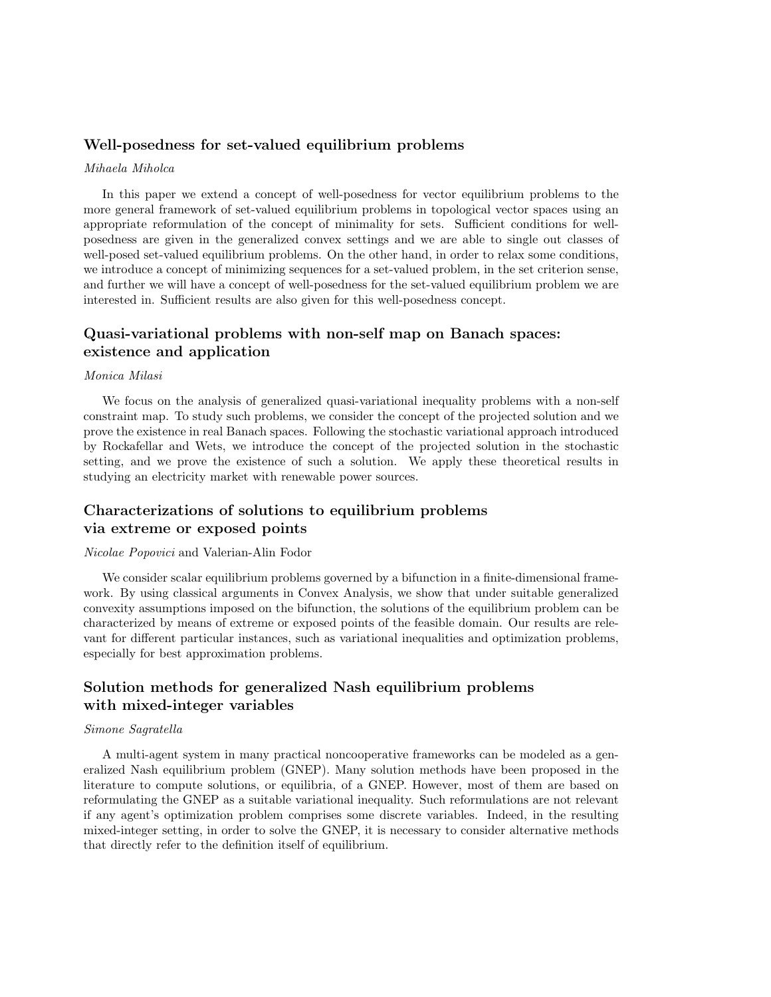## Well-posedness for set-valued equilibrium problems

#### Mihaela Miholca

In this paper we extend a concept of well-posedness for vector equilibrium problems to the more general framework of set-valued equilibrium problems in topological vector spaces using an appropriate reformulation of the concept of minimality for sets. Sufficient conditions for wellposedness are given in the generalized convex settings and we are able to single out classes of well-posed set-valued equilibrium problems. On the other hand, in order to relax some conditions, we introduce a concept of minimizing sequences for a set-valued problem, in the set criterion sense, and further we will have a concept of well-posedness for the set-valued equilibrium problem we are interested in. Sufficient results are also given for this well-posedness concept.

# Quasi-variational problems with non-self map on Banach spaces: existence and application

#### Monica Milasi

We focus on the analysis of generalized quasi-variational inequality problems with a non-self constraint map. To study such problems, we consider the concept of the projected solution and we prove the existence in real Banach spaces. Following the stochastic variational approach introduced by Rockafellar and Wets, we introduce the concept of the projected solution in the stochastic setting, and we prove the existence of such a solution. We apply these theoretical results in studying an electricity market with renewable power sources.

# Characterizations of solutions to equilibrium problems via extreme or exposed points

#### Nicolae Popovici and Valerian-Alin Fodor

We consider scalar equilibrium problems governed by a bifunction in a finite-dimensional framework. By using classical arguments in Convex Analysis, we show that under suitable generalized convexity assumptions imposed on the bifunction, the solutions of the equilibrium problem can be characterized by means of extreme or exposed points of the feasible domain. Our results are relevant for different particular instances, such as variational inequalities and optimization problems, especially for best approximation problems.

# Solution methods for generalized Nash equilibrium problems with mixed-integer variables

#### Simone Sagratella

A multi-agent system in many practical noncooperative frameworks can be modeled as a generalized Nash equilibrium problem (GNEP). Many solution methods have been proposed in the literature to compute solutions, or equilibria, of a GNEP. However, most of them are based on reformulating the GNEP as a suitable variational inequality. Such reformulations are not relevant if any agent's optimization problem comprises some discrete variables. Indeed, in the resulting mixed-integer setting, in order to solve the GNEP, it is necessary to consider alternative methods that directly refer to the definition itself of equilibrium.